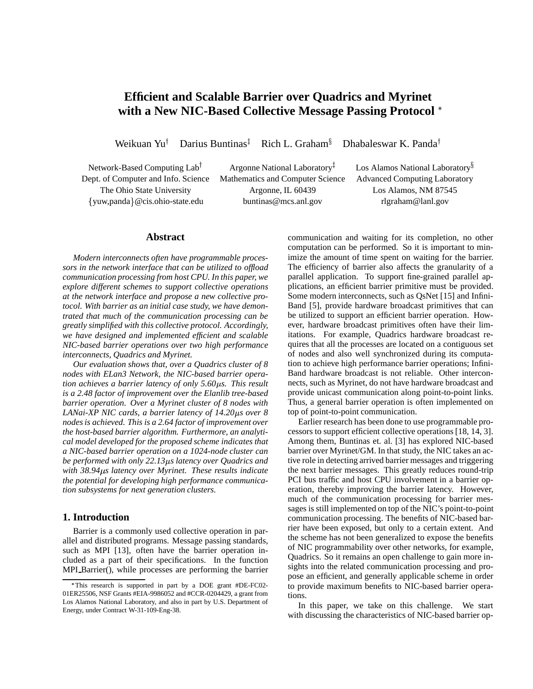# **Efficient and Scalable Barrier over Quadrics and Myrinet with a New NIC-Based Collective Message Passing Protocol**

Weikuan Yu Darius Buntinas<sup>‡</sup>

Rich L. Graham<sup>§</sup> D

Dhabaleswar K. Panda

Network-Based Computing Lab<sup>†</sup> Dept. of Computer and Info. Science Mathematics and Computer Science Advanced Computing Laboratory

Argonne National Laboratory<sup>†</sup> The Ohio State University **Argonne, IL 60439** Los Alamos, NM 87545 yuw,panda @cis.ohio-state.edu buntinas@mcs.anl.gov rlgraham@lanl.gov

Los Alamos National Laboratory $\S$ 

# **Abstract**

*Modern interconnects often have programmable processors in the network interface that can be utilized to offload communication processing from host CPU. In this paper, we explore different schemes to support collective operations at the network interface and propose a new collective protocol. With barrier as an initial case study, we have demontrated that much of the communication processing can be greatly simplified with this collective protocol. Accordingly, we have designed and implemented efficient and scalable NIC-based barrier operations over two high performance interconnects, Quadrics and Myrinet.*

*Our evaluation shows that, over a Quadrics cluster of 8 nodes with ELan3 Network, the NIC-based barrier operation achieves a barrier latency of only 5.60s. This result is a 2.48 factor of improvement over the Elanlib tree-based barrier operation. Over a Myrinet cluster of 8 nodes with LANai-XP NIC cards, a barrier latency of 14.20s over 8 nodes is achieved. This is a 2.64 factor of improvement over the host-based barrier algorithm. Furthermore, an analytical model developed for the proposed scheme indicates that a NIC-based barrier operation on a 1024-node cluster can be performed with only 22.13s latency over Quadrics and with 38.94s latency over Myrinet. These results indicate the potential for developing high performance communication subsystems for next generation clusters.*

# **1. Introduction**

Barrier is a commonly used collective operation in parallel and distributed programs. Message passing standards, such as MPI [13], often have the barrier operation included as a part of their specifications. In the function MPI\_Barrier(), while processes are performing the barrier communication and waiting for its completion, no other computation can be performed. So it is important to minimize the amount of time spent on waiting for the barrier. The efficiency of barrier also affects the granularity of a parallel application. To support fine-grained parallel applications, an efficient barrier primitive must be provided. Some modern interconnects, such as QsNet [15] and Infini-Band [5], provide hardware broadcast primitives that can be utilized to support an efficient barrier operation. However, hardware broadcast primitives often have their limitations. For example, Quadrics hardware broadcast requires that all the processes are located on a contiguous set of nodes and also well synchronized during its computation to achieve high performance barrier operations; Infini-Band hardware broadcast is not reliable. Other interconnects, such as Myrinet, do not have hardware broadcast and provide unicast communication along point-to-point links. Thus, a general barrier operation is often implemented on top of point-to-point communication.

Earlier research has been done to use programmable processors to support efficient collective operations [18, 14, 3]. Among them, Buntinas et. al. [3] has explored NIC-based barrier over Myrinet/GM. In that study, the NIC takes an active role in detecting arrived barrier messages and triggering the next barrier messages. This greatly reduces round-trip PCI bus traffic and host CPU involvement in a barrier operation, thereby improving the barrier latency. However, much of the communication processing for barrier messages is still implemented on top of the NIC's point-to-point communication processing. The benefits of NIC-based barrier have been exposed, but only to a certain extent. And the scheme has not been generalized to expose the benefits of NIC programmability over other networks, for example, Quadrics. So it remains an open challenge to gain more insights into the related communication processing and propose an efficient, and generally applicable scheme in order to provide maximum benefits to NIC-based barrier operations.

In this paper, we take on this challenge. We start with discussing the characteristics of NIC-based barrier op-

This research is supported in part by a DOE grant #DE-FC02- 01ER25506, NSF Grants #EIA-9986052 and #CCR-0204429, a grant from Los Alamos National Laboratory, and also in part by U.S. Department of Energy, under Contract W-31-109-Eng-38.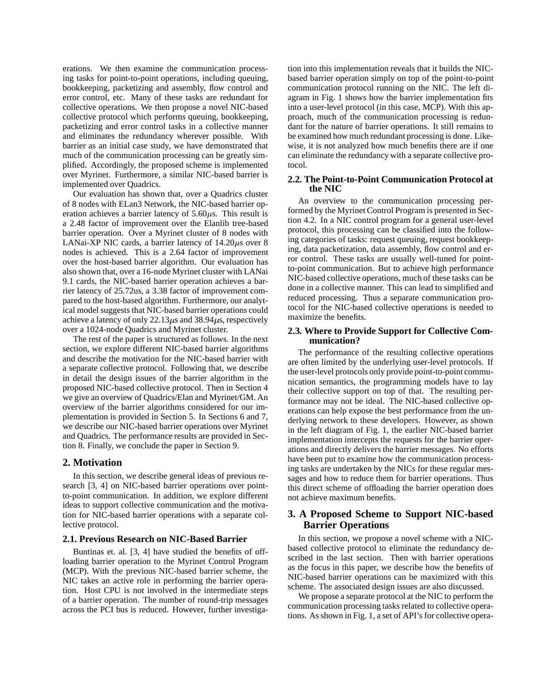erations. We then examine the communication processing tasks for point-to-point operations, including queuing, bookkeeping, packetizing and assembly, flow control and error control, etc. Many of these tasks are redundant for collective operations. We then propose a novel NIC-based collective protocol which performs queuing, bookkeeping, packetizing and error control tasks in a collective manner and eliminates the redundancy wherever possible. With barrier as an initial case study, we have demonstrated that much of the communication processing can be greatly simplified. Accordingly, the proposed scheme is implemented over Myrinet. Furthermore, a similar NIC-based barrier is implemented over Quadrics.

Our evaluation has shown that, over a Quadrics cluster of 8 nodes with ELan3 Network, the NIC-based barrier operation achieves a barrier latency of  $5.60\mu s$ . This result is a 2.48 factor of improvement over the Elanlib tree-based barrier operation. Over a Myrinet cluster of 8 nodes with LANai-XP NIC cards, a barrier latency of  $14.20\mu s$  over 8 nodes is achieved. This is a 2.64 factor of improvement over the host-based barrier algorithm. Our evaluation has also shown that, over a 16-node Myrinet cluster with LANai 9.1 cards, the NIC-based barrier operation achieves a barrier latency of 25.72us, a 3.38 factor of improvement compared to the host-based algorithm. Furthermore, our analytical model suggests that NIC-based barrier operations could achieve a latency of only  $22.13\mu s$  and  $38.94\mu s$ , respectively over a 1024-node Quadrics and Myrinet cluster.

The rest of the paper is structured as follows. In the next section, we explore different NIC-based barrier algorithms and describe the motivation for the NIC-based barrier with a separate collective protocol. Following that, we describe in detail the design issues of the barrier algorithm in the proposed NIC-based collective protocol. Then in Section 4 we give an overview of Quadrics/Elan and Myrinet/GM. An overview of the barrier algorithms considered for our implementation is provided in Section 5. In Sections 6 and 7, we describe our NIC-based barrier operations over Myrinet and Quadrics. The performance results are provided in Section 8. Finally, we conclude the paper in Section 9.

### **2. Motivation**

In this section, we describe general ideas of previous research [3, 4] on NIC-based barrier operations over pointto-point communication. In addition, we explore different ideas to support collective communication and the motivation for NIC-based barrier operations with a separate collective protocol.

#### **2.1. Previous Research on NIC-Based Barrier**

Buntinas et. al. [3, 4] have studied the benefits of offloading barrier operation to the Myrinet Control Program (MCP). With the previous NIC-based barrier scheme, the NIC takes an active role in performing the barrier operation. Host CPU is not involved in the intermediate steps of a barrier operation. The number of round-trip messages across the PCI bus is reduced. However, further investigation into this implementation reveals that it builds the NICbased barrier operation simply on top of the point-to-point communication protocol running on the NIC. The left diagram in Fig. 1 shows how the barrier implementation fits into a user-level protocol (in this case, MCP). With this approach, much of the communication processing is redundant for the nature of barrier operations. It still remains to be examined how much redundant processing is done. Likewise, it is not analyzed how much benefits there are if one can eliminate the redundancy with a separate collective protocol.

### **2.2. The Point-to-Point Communication Protocol at the NIC**

An overview to the communication processing performed by the Myrinet Control Program is presented in Section 4.2. In a NIC control program for a general user-level protocol, this processing can be classified into the following categories of tasks: request queuing, request bookkeeping, data packetization, data assembly, flow control and error control. These tasks are usually well-tuned for pointto-point communication. But to achieve high performance NIC-based collective operations, much of these tasks can be done in a collective manner. This can lead to simplified and reduced processing. Thus a separate communication protocol for the NIC-based collective operations is needed to maximize the benefits.

#### **2.3. Where to Provide Support for Collective Communication?**

The performance of the resulting collective operations are often limited by the underlying user-level protocols. If the user-level protocols only provide point-to-point communication semantics, the programming models have to lay their collective support on top of that. The resulting performance may not be ideal. The NIC-based collective operations can help expose the best performance from the underlying network to these developers. However, as shown in the left diagram of Fig. 1, the earlier NIC-based barrier implementation intercepts the requests for the barrier operations and directly delivers the barrier messages. No efforts have been put to examine how the communication processing tasks are undertaken by the NICs for these regular messages and how to reduce them for barrier operations. Thus this direct scheme of offloading the barrier operation does not achieve maximum benefits.

# **3. A Proposed Scheme to Support NIC-based Barrier Operations**

In this section, we propose a novel scheme with a NICbased collective protocol to eliminate the redundancy described in the last section. Then with barrier operations as the focus in this paper, we describe how the benefits of NIC-based barrier operations can be maximized with this scheme. The associated design issues are also discussed.

We propose a separate protocol at the NIC to perform the communication processing tasks related to collective operations. As shown in Fig. 1, a set of API's for collective opera-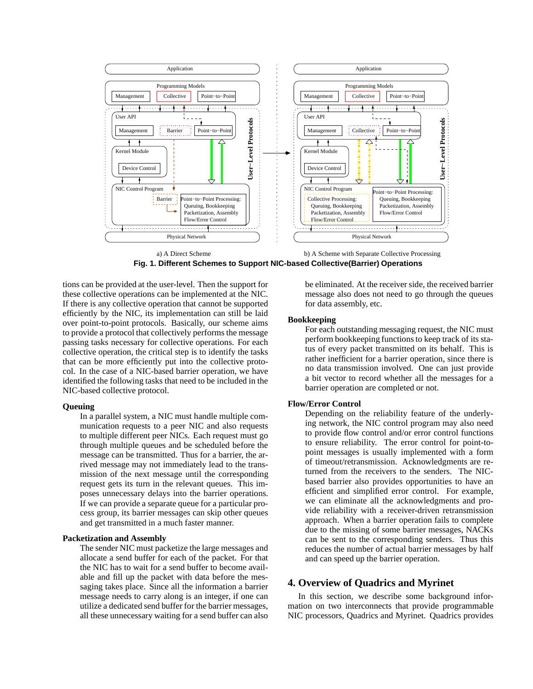

**Fig. 1. Different Schemes to Support NIC-based Collective(Barrier) Operations**

tions can be provided at the user-level. Then the support for these collective operations can be implemented at the NIC. If there is any collective operation that cannot be supported efficiently by the NIC, its implementation can still be laid over point-to-point protocols. Basically, our scheme aims to provide a protocol that collectively performs the message passing tasks necessary for collective operations. For each collective operation, the critical step is to identify the tasks that can be more efficiently put into the collective protocol. In the case of a NIC-based barrier operation, we have identified the following tasks that need to be included in the NIC-based collective protocol.

### **Queuing**

In a parallel system, a NIC must handle multiple communication requests to a peer NIC and also requests to multiple different peer NICs. Each request must go through multiple queues and be scheduled before the message can be transmitted. Thus for a barrier, the arrived message may not immediately lead to the transmission of the next message until the corresponding request gets its turn in the relevant queues. This imposes unnecessary delays into the barrier operations. If we can provide a separate queue for a particular process group, its barrier messages can skip other queues and get transmitted in a much faster manner.

# **Packetization and Assembly**

The sender NIC must packetize the large messages and allocate a send buffer for each of the packet. For that the NIC has to wait for a send buffer to become available and fill up the packet with data before the messaging takes place. Since all the information a barrier message needs to carry along is an integer, if one can utilize a dedicated send buffer for the barrier messages, all these unnecessary waiting for a send buffer can also

be eliminated. At the receiver side, the received barrier message also does not need to go through the queues for data assembly, etc.

### **Bookkeeping**

For each outstanding messaging request, the NIC must perform bookkeeping functions to keep track of its status of every packet transmitted on its behalf. This is rather inefficient for a barrier operation, since there is no data transmission involved. One can just provide a bit vector to record whether all the messages for a barrier operation are completed or not.

#### **Flow/Error Control**

Depending on the reliability feature of the underlying network, the NIC control program may also need to provide flow control and/or error control functions to ensure reliability. The error control for point-topoint messages is usually implemented with a form of timeout/retransmission. Acknowledgments are returned from the receivers to the senders. The NICbased barrier also provides opportunities to have an efficient and simplified error control. For example, we can eliminate all the acknowledgments and provide reliability with a receiver-driven retransmission approach. When a barrier operation fails to complete due to the missing of some barrier messages, NACKs can be sent to the corresponding senders. Thus this reduces the number of actual barrier messages by half and can speed up the barrier operation.

# **4. Overview of Quadrics and Myrinet**

In this section, we describe some background information on two interconnects that provide programmable NIC processors, Quadrics and Myrinet. Quadrics provides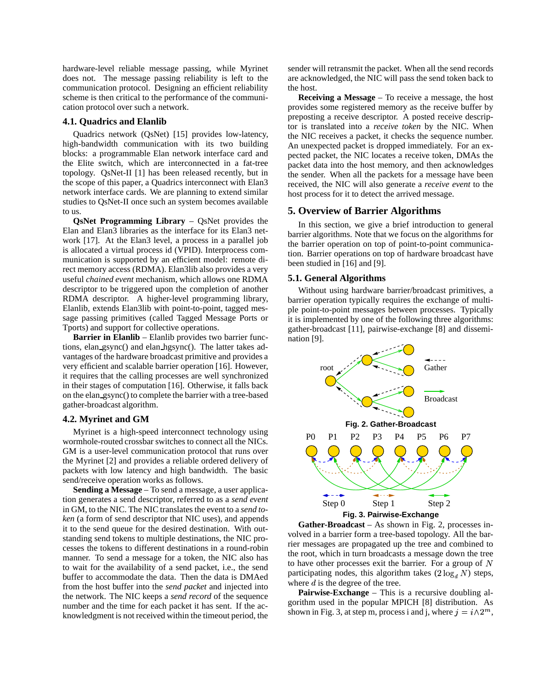hardware-level reliable message passing, while Myrinet does not. The message passing reliability is left to the communication protocol. Designing an efficient reliability scheme is then critical to the performance of the communication protocol over such a network.

#### **4.1. Quadrics and Elanlib**

Quadrics network (QsNet) [15] provides low-latency, high-bandwidth communication with its two building blocks: a programmable Elan network interface card and the Elite switch, which are interconnected in a fat-tree topology. QsNet-II [1] has been released recently, but in the scope of this paper, a Quadrics interconnect with Elan3 network interface cards. We are planning to extend similar studies to QsNet-II once such an system becomes available to us.

**QsNet Programming Library** – QsNet provides the Elan and Elan3 libraries as the interface for its Elan3 network [17]. At the Elan3 level, a process in a parallel job is allocated a virtual process id (VPID). Interprocess communication is supported by an efficient model: remote direct memory access (RDMA). Elan3lib also provides a very useful *chained event* mechanism, which allows one RDMA descriptor to be triggered upon the completion of another RDMA descriptor. A higher-level programming library, Elanlib, extends Elan3lib with point-to-point, tagged message passing primitives (called Tagged Message Ports or Tports) and support for collective operations.

**Barrier in Elanlib** – Elanlib provides two barrier functions, elan gsync() and elan hgsync(). The latter takes advantages of the hardware broadcast primitive and provides a very efficient and scalable barrier operation [16]. However, it requires that the calling processes are well synchronized in their stages of computation [16]. Otherwise, it falls back on the elan gsync() to complete the barrier with a tree-based gather-broadcast algorithm.

#### **4.2. Myrinet and GM**

Myrinet is a high-speed interconnect technology using wormhole-routed crossbar switches to connect all the NICs. GM is a user-level communication protocol that runs over the Myrinet [2] and provides a reliable ordered delivery of packets with low latency and high bandwidth. The basic send/receive operation works as follows.

**Sending a Message** – To send a message, a user application generates a send descriptor, referred to as a *send event* in GM, to the NIC. The NIC translates the event to a *send token* (a form of send descriptor that NIC uses), and appends it to the send queue for the desired destination. With outstanding send tokens to multiple destinations, the NIC processes the tokens to different destinations in a round-robin manner. To send a message for a token, the NIC also has to wait for the availability of a send packet, i.e., the send buffer to accommodate the data. Then the data is DMAed from the host buffer into the *send packet* and injected into the network. The NIC keeps a *send record* of the sequence number and the time for each packet it has sent. If the acknowledgment is not received within the timeout period, the sender will retransmit the packet. When all the send records are acknowledged, the NIC will pass the send token back to the host.

**Receiving a Message** – To receive a message, the host provides some registered memory as the receive buffer by preposting a receive descriptor. A posted receive descriptor is translated into a *receive token* by the NIC. When the NIC receives a packet, it checks the sequence number. An unexpected packet is dropped immediately. For an expected packet, the NIC locates a receive token, DMAs the packet data into the host memory, and then acknowledges the sender. When all the packets for a message have been received, the NIC will also generate a *receive event* to the host process for it to detect the arrived message.

# **5. Overview of Barrier Algorithms**

In this section, we give a brief introduction to general barrier algorithms. Note that we focus on the algorithms for the barrier operation on top of point-to-point communication. Barrier operations on top of hardware broadcast have been studied in [16] and [9].

#### **5.1. General Algorithms**

Without using hardware barrier/broadcast primitives, a barrier operation typically requires the exchange of multiple point-to-point messages between processes. Typically it is implemented by one of the following three algorithms: gather-broadcast [11], pairwise-exchange [8] and dissemination [9].



**Gather-Broadcast** – As shown in Fig. 2, processes involved in a barrier form a tree-based topology. All the barrier messages are propagated up the tree and combined to the root, which in turn broadcasts a message down the tree to have other processes exit the barrier. For a group of  $N$ participating nodes, this algorithm takes  $(2log_d N)$  steps, where  $d$  is the degree of the tree.

**Pairwise-Exchange** – This is a recursive doubling algorithm used in the popular MPICH [8] distribution. As shown in Fig. 3, at step m, process i and j, where  $j = i \wedge 2^m$ ,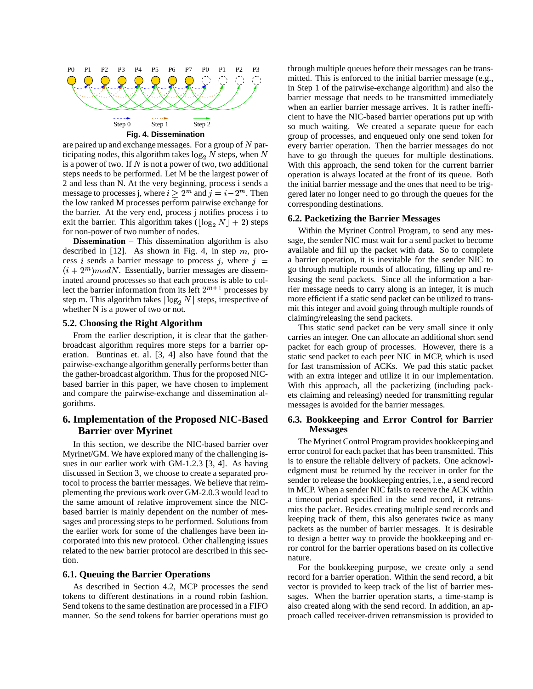

are paired up and exchange messages. For a group of  $N$  participating nodes, this algorithm takes  $\log_2 N$  steps, when N have to go the is a power of two. If  $N$  is not a power of two, two additional steps needs to be performed. Let M be the largest power of 2 and less than N. At the very beginning, process i sends a message to processes j, where  $i \geq 2^m$  and  $j = i - 2^m$ . Then the low ranked M processes perform pairwise exchange for the barrier. At the very end, process j notifies process i to exit the barrier. This algorithm takes  $(\lfloor \log_2 N \rfloor + 2)$  steps for non-power of two number of nodes.

**Dissemination** – This dissemination algorithm is also described in [12]. As shown in Fig. 4, in step  $m$ , process *i* sends a barrier message to process *j*, where  $j =$  $(i + 2<sup>m</sup>)modN$ . Essentially, barrier messages are disseminated around processes so that each process is able to collect the barrier information from its left  $2^{m+1}$  processes by step m. This algorithm takes  $\lceil \log_2 N \rceil$  steps, irrespective of whether N is a power of two or not.

#### **5.2. Choosing the Right Algorithm**

From the earlier description, it is clear that the gatherbroadcast algorithm requires more steps for a barrier operation. Buntinas et. al. [3, 4] also have found that the pairwise-exchange algorithm generally performs better than the gather-broadcast algorithm. Thus for the proposed NICbased barrier in this paper, we have chosen to implement and compare the pairwise-exchange and dissemination algorithms.

# **6. Implementation of the Proposed NIC-Based Barrier over Myrinet**

In this section, we describe the NIC-based barrier over Myrinet/GM. We have explored many of the challenging issues in our earlier work with GM-1.2.3 [3, 4]. As having discussed in Section 3, we choose to create a separated protocol to process the barrier messages. We believe that reimplementing the previous work over GM-2.0.3 would lead to the same amount of relative improvement since the NICbased barrier is mainly dependent on the number of messages and processing steps to be performed. Solutions from the earlier work for some of the challenges have been incorporated into this new protocol. Other challenging issues related to the new barrier protocol are described in this section.

#### **6.1. Queuing the Barrier Operations**

As described in Section 4.2, MCP processes the send tokens to different destinations in a round robin fashion. Send tokens to the same destination are processed in a FIFO manner. So the send tokens for barrier operations must go

through multiple queues before their messages can be transmitted. This is enforced to the initial barrier message (e.g., in Step 1 of the pairwise-exchange algorithm) and also the barrier message that needs to be transmitted immediately when an earlier barrier message arrives. It is rather inefficient to have the NIC-based barrier operations put up with so much waiting. We created a separate queue for each group of processes, and enqueued only one send token for every barrier operation. Then the barrier messages do not have to go through the queues for multiple destinations. With this approach, the send token for the current barrier operation is always located at the front of its queue. Both the initial barrier message and the ones that need to be triggered later no longer need to go through the queues for the corresponding destinations.

#### **6.2. Packetizing the Barrier Messages**

Within the Myrinet Control Program, to send any message, the sender NIC must wait for a send packet to become available and fill up the packet with data. So to complete a barrier operation, it is inevitable for the sender NIC to go through multiple rounds of allocating, filling up and releasing the send packets. Since all the information a barrier message needs to carry along is an integer, it is much more efficient if a static send packet can be utilized to transmit this integer and avoid going through multiple rounds of claiming/releasing the send packets.

This static send packet can be very small since it only carries an integer. One can allocate an additional short send packet for each group of processes. However, there is a static send packet to each peer NIC in MCP, which is used for fast transmission of ACKs. We pad this static packet with an extra integer and utilize it in our implementation. With this approach, all the packetizing (including packets claiming and releasing) needed for transmitting regular messages is avoided for the barrier messages.

### **6.3. Bookkeeping and Error Control for Barrier Messages**

The Myrinet Control Program provides bookkeeping and error control for each packet that has been transmitted. This is to ensure the reliable delivery of packets. One acknowledgment must be returned by the receiver in order for the sender to release the bookkeeping entries, i.e., a send record in MCP. When a sender NIC fails to receive the ACK within a timeout period specified in the send record, it retransmits the packet. Besides creating multiple send records and keeping track of them, this also generates twice as many packets as the number of barrier messages. It is desirable to design a better way to provide the bookkeeping and error control for the barrier operations based on its collective nature.

For the bookkeeping purpose, we create only a send record for a barrier operation. Within the send record, a bit vector is provided to keep track of the list of barrier messages. When the barrier operation starts, a time-stamp is also created along with the send record. In addition, an approach called receiver-driven retransmission is provided to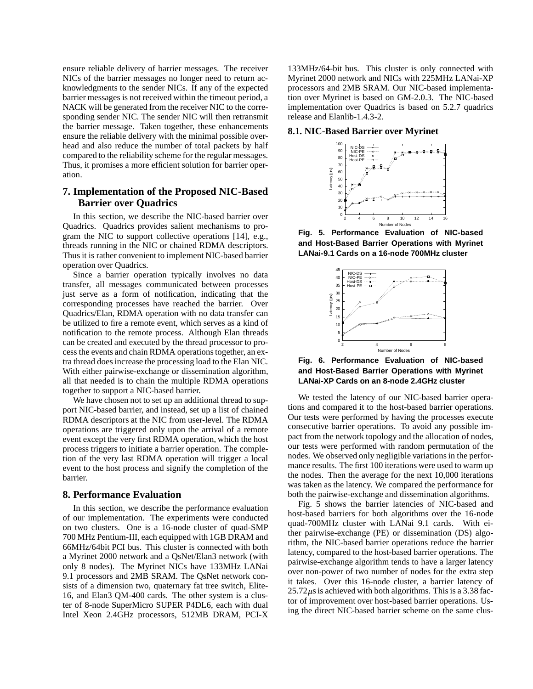ensure reliable delivery of barrier messages. The receiver NICs of the barrier messages no longer need to return acknowledgments to the sender NICs. If any of the expected barrier messages is not received within the timeout period, a NACK will be generated from the receiver NIC to the corresponding sender NIC. The sender NIC will then retransmit the barrier message. Taken together, these enhancements ensure the reliable delivery with the minimal possible overhead and also reduce the number of total packets by half compared to the reliability scheme for the regular messages. Thus, it promises a more efficient solution for barrier operation.

# **7. Implementation of the Proposed NIC-Based Barrier over Quadrics**

In this section, we describe the NIC-based barrier over Quadrics. Quadrics provides salient mechanisms to program the NIC to support collective operations [14], e.g., threads running in the NIC or chained RDMA descriptors. Thus it is rather convenient to implement NIC-based barrier operation over Quadrics.

Since a barrier operation typically involves no data transfer, all messages communicated between processes just serve as a form of notification, indicating that the corresponding processes have reached the barrier. Over Quadrics/Elan, RDMA operation with no data transfer can be utilized to fire a remote event, which serves as a kind of notification to the remote process. Although Elan threads can be created and executed by the thread processor to process the events and chain RDMA operationstogether, an extra thread does increase the processing load to the Elan NIC. With either pairwise-exchange or dissemination algorithm, all that needed is to chain the multiple RDMA operations together to support a NIC-based barrier.

We have chosen not to set up an additional thread to support NIC-based barrier, and instead, set up a list of chained RDMA descriptors at the NIC from user-level. The RDMA operations are triggered only upon the arrival of a remote event except the very first RDMA operation, which the host process triggers to initiate a barrier operation. The completion of the very last RDMA operation will trigger a local event to the host process and signify the completion of the barrier.

### **8. Performance Evaluation**

In this section, we describe the performance evaluation of our implementation. The experiments were conducted on two clusters. One is a 16-node cluster of quad-SMP 700 MHz Pentium-III, each equipped with 1GB DRAM and 66MHz/64bit PCI bus. This cluster is connected with both a Myrinet 2000 network and a QsNet/Elan3 network (with only 8 nodes). The Myrinet NICs have 133MHz LANai 9.1 processors and 2MB SRAM. The QsNet network consists of a dimension two, quaternary fat tree switch, Elite-16, and Elan3 QM-400 cards. The other system is a cluster of 8-node SuperMicro SUPER P4DL6, each with dual Intel Xeon 2.4GHz processors, 512MB DRAM, PCI-X 133MHz/64-bit bus. This cluster is only connected with Myrinet 2000 network and NICs with 225MHz LANai-XP processors and 2MB SRAM. Our NIC-based implementation over Myrinet is based on GM-2.0.3. The NIC-based implementation over Quadrics is based on 5.2.7 quadrics release and Elanlib-1.4.3-2.

#### **8.1. NIC-Based Barrier over Myrinet**



**Fig. 5. Performance Evaluation of NIC-based and Host-Based Barrier Operations with Myrinet LANai-9.1 Cards on a 16-node 700MHz cluster**



# **Fig. 6. Performance Evaluation of NIC-based and Host-Based Barrier Operations with Myrinet LANai-XP Cards on an 8-node 2.4GHz cluster**

We tested the latency of our NIC-based barrier operations and compared it to the host-based barrier operations. Our tests were performed by having the processes execute consecutive barrier operations. To avoid any possible impact from the network topology and the allocation of nodes, our tests were performed with random permutation of the nodes. We observed only negligible variations in the performance results. The first 100 iterations were used to warm up the nodes. Then the average for the next 10,000 iterations was taken as the latency. We compared the performance for both the pairwise-exchange and dissemination algorithms.

Fig. 5 shows the barrier latencies of NIC-based and host-based barriers for both algorithms over the 16-node quad-700MHz cluster with LANai 9.1 cards. With either pairwise-exchange (PE) or dissemination (DS) algorithm, the NIC-based barrier operations reduce the barrier latency, compared to the host-based barrier operations. The pairwise-exchange algorithm tends to have a larger latency over non-power of two number of nodes for the extra step it takes. Over this 16-node cluster, a barrier latency of  $25.72\mu s$  is achieved with both algorithms. This is a 3.38 factor of improvement over host-based barrier operations. Using the direct NIC-based barrier scheme on the same clus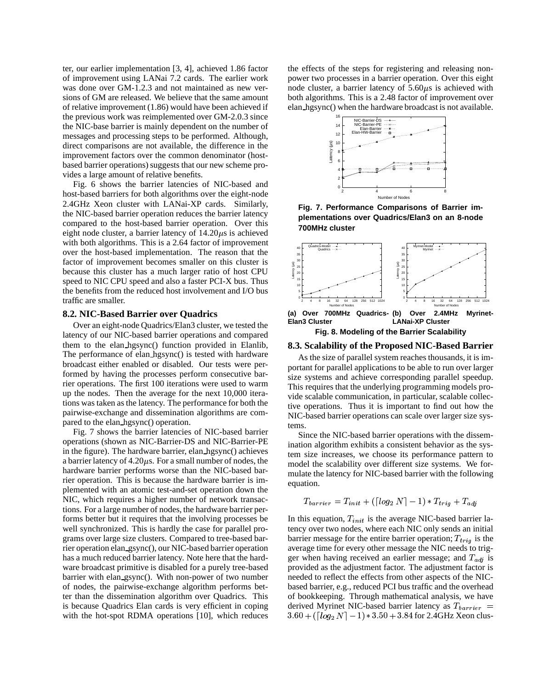ter, our earlier implementation [3, 4], achieved 1.86 factor of improvement using LANai 7.2 cards. The earlier work was done over GM-1.2.3 and not maintained as new versions of GM are released. We believe that the same amount of relative improvement (1.86) would have been achieved if the previous work was reimplemented over GM-2.0.3 since the NIC-base barrier is mainly dependent on the number of messages and processing steps to be performed. Although, direct comparisons are not available, the difference in the improvement factors over the common denominator (hostbased barrier operations) suggests that our new scheme provides a large amount of relative benefits.

Fig. 6 shows the barrier latencies of NIC-based and host-based barriers for both algorithms over the eight-node 2.4GHz Xeon cluster with LANai-XP cards. Similarly, the NIC-based barrier operation reduces the barrier latency compared to the host-based barrier operation. Over this eight node cluster, a barrier latency of  $14.20\mu s$  is achieved with both algorithms. This is a 2.64 factor of improvement over the host-based implementation. The reason that the factor of improvement becomes smaller on this cluster is because this cluster has a much larger ratio of host CPU speed to NIC CPU speed and also a faster PCI-X bus. Thus the benefits from the reduced host involvement and I/O bus traffic are smaller.

#### **8.2. NIC-Based Barrier over Quadrics**

Over an eight-node Quadrics/Elan3 cluster, we tested the latency of our NIC-based barrier operations and compared them to the elan hgsync() function provided in Elanlib, The performance of elan hgsync() is tested with hardware broadcast either enabled or disabled. Our tests were performed by having the processes perform consecutive barrier operations. The first 100 iterations were used to warm up the nodes. Then the average for the next 10,000 iterations was taken as the latency. The performance for both the pairwise-exchange and dissemination algorithms are compared to the elan hgsync() operation.

Fig. 7 shows the barrier latencies of NIC-based barrier operations (shown as NIC-Barrier-DS and NIC-Barrier-PE in the figure). The hardware barrier, elan hgsync() achieves a barrier latency of  $4.20\mu s$ . For a small number of nodes, the hardware barrier performs worse than the NIC-based barrier operation. This is because the hardware barrier is implemented with an atomic test-and-set operation down the NIC, which requires a higher number of network transactions. For a large number of nodes, the hardware barrier performs better but it requires that the involving processes be well synchronized. This is hardly the case for parallel programs over large size clusters. Compared to tree-based barrier operation elan gsync(), our NIC-based barrier operation has a much reduced barrier latency. Note here that the hardware broadcast primitive is disabled for a purely tree-based barrier with elan gsync(). With non-power of two number of nodes, the pairwise-exchange algorithm performs better than the dissemination algorithm over Quadrics. This is because Quadrics Elan cards is very efficient in coping with the hot-spot RDMA operations [10], which reduces

the effects of the steps for registering and releasing nonpower two processes in a barrier operation. Over this eight node cluster, a barrier latency of  $5.60\mu s$  is achieved with both algorithms. This is a 2.48 factor of improvement over elan hgsync() when the hardware broadcast is not available.



**Fig. 7. Performance Comparisons of Barrier implementations over Quadrics/Elan3 on an 8-node 700MHz cluster**



#### **8.3. Scalability of the Proposed NIC-Based Barrier**

As the size of parallel system reaches thousands, it is important for parallel applications to be able to run over larger size systems and achieve corresponding parallel speedup. This requires that the underlying programming models provide scalable communication, in particular, scalable collective operations. Thus it is important to find out how the NIC-based barrier operations can scale over larger size systems.

Since the NIC-based barrier operations with the dissemination algorithm exhibits a consistent behavior as the system size increases, we choose its performance pattern to model the scalability over different size systems. We formulate the latency for NIC-based barrier with the following equation.

$$
T_{barrier} = T_{init} + (\lceil log_2\,N \rceil - 1)*T_{trig} + T_{adj}
$$

In this equation,  $T_{init}$  is the average NIC-based barrier latency over two nodes, where each NIC only sends an initial barrier message for the entire barrier operation;  $T_{trig}$  is the average time for every other message the NIC needs to trigger when having received an earlier message; and  $T_{adj}$  is provided as the adjustment factor. The adjustment factor is needed to reflect the effects from other aspects of the NICbased barrier, e.g., reduced PCI bus traffic and the overhead of bookkeeping. Through mathematical analysis, we have derived Myrinet NIC-based barrier latency as  $T_{barrier}$  =  $3.60 + ( \lceil log_2 N \rceil - 1) * 3.50 + 3.84$  for 2.4GHz Xeon clus